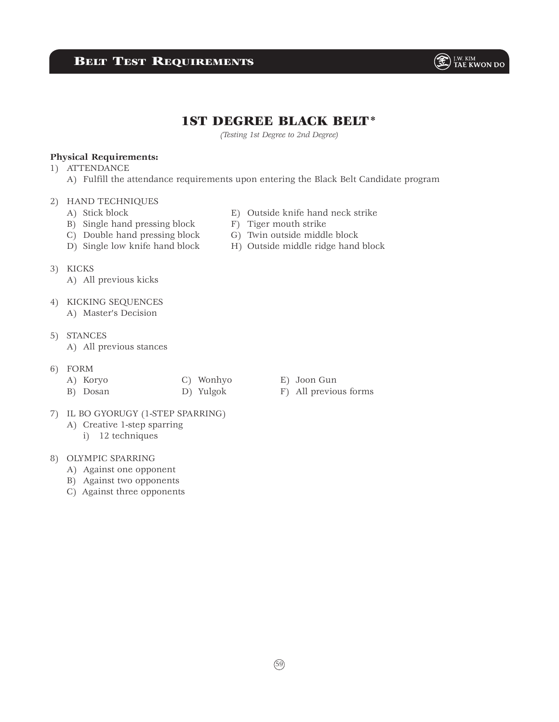

# 1ST DEGREE BLACK BELT\*

*(Testing 1st Degree to 2nd Degree)*

## **Physical Requirements:**

- 1) ATTENDANCE
	- A) Fulfill the attendance requirements upon entering the Black Belt Candidate program
- 2) HAND TECHNIQUES
	-
	- B) Single hand pressing block F) Tiger mouth strike
	- A) Stick block E) Outside knife hand neck strike
		-
	- C) Double hand pressing block G) Twin outside middle block
	- D) Single low knife hand block H) Outside middle ridge hand block
- 3) KICKS
	- A) All previous kicks
- 4) KICKING SEQUENCES A) Master's Decision
- 5) STANCES
	- A) All previous stances
- 6) FORM

## A) Koryo C) Wonhyo E) Joon Gun

- B) Dosan D) Yulgok F) All previous forms
- 
- 7) IL BO GYORUGY (1-STEP SPARRING) A) Creative 1-step sparring
	- i) 12 techniques

### 8) OLYMPIC SPARRING

- A) Against one opponent
- B) Against two opponents
- C) Against three opponents
- 
-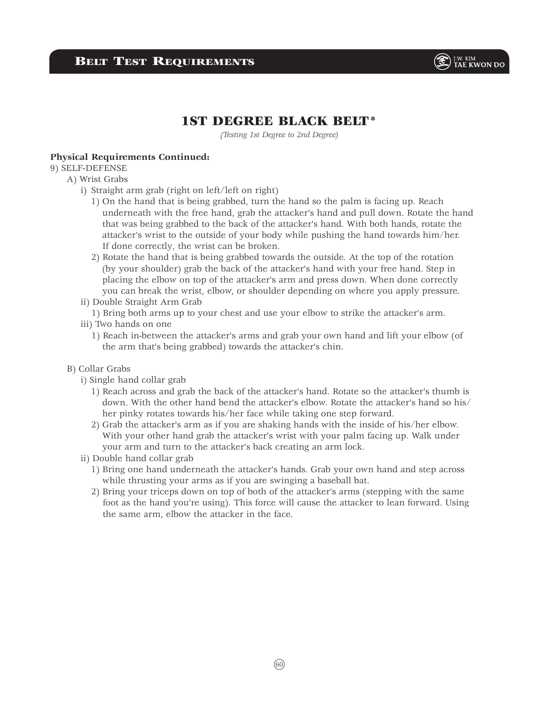

## 1ST DEGREE BLACK BELT\*

*(Testing 1st Degree to 2nd Degree)*

#### **Physical Requirements Continued:**

### 9) SELF-DEFENSE

### A) Wrist Grabs

- i) Straight arm grab (right on left/left on right)
	- 1) On the hand that is being grabbed, turn the hand so the palm is facing up. Reach underneath with the free hand, grab the attacker's hand and pull down. Rotate the hand that was being grabbed to the back of the attacker's hand. With both hands, rotate the attacker's wrist to the outside of your body while pushing the hand towards him/her. If done correctly, the wrist can be broken.
- 2) Rotate the hand that is being grabbed towards the outside. At the top of the rotation (by your shoulder) grab the back of the attacker's hand with your free hand. Step in placing the elbow on top of the attacker's arm and press down. When done correctly you can break the wrist, elbow, or shoulder depending on where you apply pressure. ii) Double Straight Arm Grab
- 1) Bring both arms up to your chest and use your elbow to strike the attacker's arm.
- iii) Two hands on one
	- 1) Reach in-between the attacker's arms and grab your own hand and lift your elbow (of the arm that's being grabbed) towards the attacker's chin.

#### B) Collar Grabs

- i) Single hand collar grab
	- 1) Reach across and grab the back of the attacker's hand. Rotate so the attacker's thumb is down. With the other hand bend the attacker's elbow. Rotate the attacker's hand so his/ her pinky rotates towards his/her face while taking one step forward.
	- 2) Grab the attacker's arm as if you are shaking hands with the inside of his/her elbow. With your other hand grab the attacker's wrist with your palm facing up. Walk under your arm and turn to the attacker's back creating an arm lock.
- ii) Double hand collar grab
	- 1) Bring one hand underneath the attacker's hands. Grab your own hand and step across while thrusting your arms as if you are swinging a baseball bat.
	- 2) Bring your triceps down on top of both of the attacker's arms (stepping with the same foot as the hand you're using). This force will cause the attacker to lean forward. Using the same arm, elbow the attacker in the face.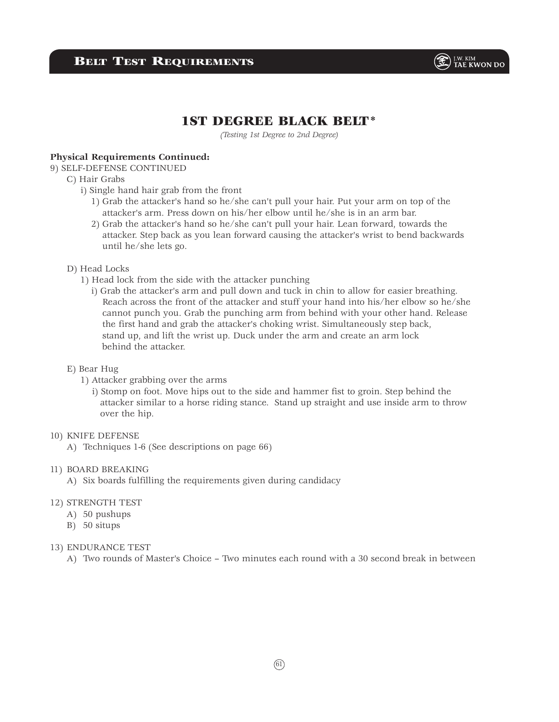

## 1ST DEGREE BLACK BELT\*

*(Testing 1st Degree to 2nd Degree)*

#### **Physical Requirements Continued:**

9) SELF-DEFENSE CONTINUED

#### C) Hair Grabs

- i) Single hand hair grab from the front
	- 1) Grab the attacker's hand so he/she can't pull your hair. Put your arm on top of the attacker's arm. Press down on his/her elbow until he/she is in an arm bar.
	- 2) Grab the attacker's hand so he/she can't pull your hair. Lean forward, towards the attacker. Step back as you lean forward causing the attacker's wrist to bend backwards until he/she lets go.

#### D) Head Locks

- 1) Head lock from the side with the attacker punching
	- i) Grab the attacker's arm and pull down and tuck in chin to allow for easier breathing. Reach across the front of the attacker and stuff your hand into his/her elbow so he/she cannot punch you. Grab the punching arm from behind with your other hand. Release the first hand and grab the attacker's choking wrist. Simultaneously step back, stand up, and lift the wrist up. Duck under the arm and create an arm lock behind the attacker.

#### E) Bear Hug

- 1) Attacker grabbing over the arms
	- i) Stomp on foot. Move hips out to the side and hammer fist to groin. Step behind the attacker similar to a horse riding stance. Stand up straight and use inside arm to throw over the hip.

#### 10) KNIFE DEFENSE

A) Techniques 1-6 (See descriptions on page 66)

#### 11) BOARD BREAKING

A) Six boards fulfilling the requirements given during candidacy

#### 12) STRENGTH TEST

- A) 50 pushups
- B) 50 situps

#### 13) ENDURANCE TEST

A) Two rounds of Master's Choice – Two minutes each round with a 30 second break in between